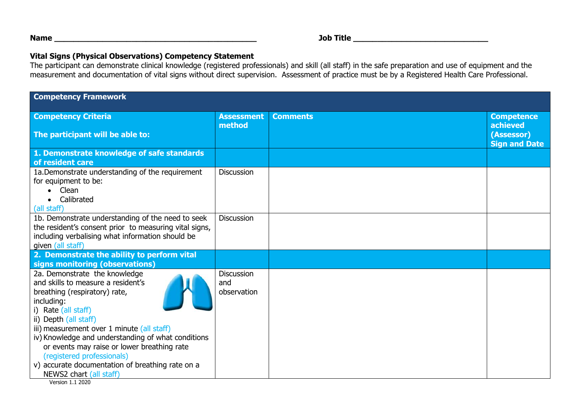**Name \_\_\_\_\_\_\_\_\_\_\_\_\_\_\_\_\_\_\_\_\_\_\_\_\_\_\_\_\_\_\_\_\_\_\_\_\_\_\_\_\_\_ Job Title \_\_\_\_\_\_\_\_\_\_\_\_\_\_\_\_\_\_\_\_\_\_\_\_\_\_\_\_** 

## **Vital Signs (Physical Observations) Competency Statement**

 The participant can demonstrate clinical knowledge (registered professionals) and skill (all staff) in the safe preparation and use of equipment and the measurement and documentation of vital signs without direct supervision. Assessment of practice must be by a Registered Health Care Professional.

| <b>Competency Framework</b>                                                                                                                                                                                                                                                                                                                                                                                                                            |                                         |                 |                                                                     |  |  |
|--------------------------------------------------------------------------------------------------------------------------------------------------------------------------------------------------------------------------------------------------------------------------------------------------------------------------------------------------------------------------------------------------------------------------------------------------------|-----------------------------------------|-----------------|---------------------------------------------------------------------|--|--|
| <b>Competency Criteria</b><br>The participant will be able to:                                                                                                                                                                                                                                                                                                                                                                                         | <b>Assessment</b><br>method             | <b>Comments</b> | <b>Competence</b><br>achieved<br>(Assessor)<br><b>Sign and Date</b> |  |  |
| 1. Demonstrate knowledge of safe standards<br>of resident care                                                                                                                                                                                                                                                                                                                                                                                         |                                         |                 |                                                                     |  |  |
| 1a. Demonstrate understanding of the requirement<br>for equipment to be:<br>Clean<br>Calibrated<br>(all staff)                                                                                                                                                                                                                                                                                                                                         | <b>Discussion</b>                       |                 |                                                                     |  |  |
| 1b. Demonstrate understanding of the need to seek<br>the resident's consent prior to measuring vital signs,<br>including verbalising what information should be<br>given (all staff)                                                                                                                                                                                                                                                                   | <b>Discussion</b>                       |                 |                                                                     |  |  |
| 2. Demonstrate the ability to perform vital<br>signs monitoring (observations)                                                                                                                                                                                                                                                                                                                                                                         |                                         |                 |                                                                     |  |  |
| 2a. Demonstrate the knowledge<br>and skills to measure a resident's<br>breathing (respiratory) rate,<br>including:<br>i) Rate (all staff)<br>ii) Depth (all staff)<br>iii) measurement over 1 minute (all staff)<br>iv) Knowledge and understanding of what conditions<br>or events may raise or lower breathing rate<br>(registered professionals)<br>v) accurate documentation of breathing rate on a<br>NEWS2 chart (all staff)<br>Version 1.1 2020 | <b>Discussion</b><br>and<br>observation |                 |                                                                     |  |  |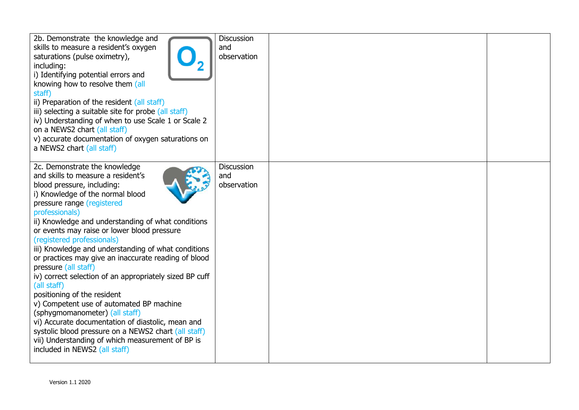| 2b. Demonstrate the knowledge and<br>skills to measure a resident's oxygen<br>saturations (pulse oximetry),<br>including:<br>i) Identifying potential errors and<br>knowing how to resolve them (all<br>staff)<br>ii) Preparation of the resident (all staff)<br>iii) selecting a suitable site for probe (all staff)<br>iv) Understanding of when to use Scale 1 or Scale 2<br>on a NEWS2 chart (all staff)                                                                                                                                                                                                                                                                                                                                                                                                                                             | <b>Discussion</b><br>and<br>observation |  |
|----------------------------------------------------------------------------------------------------------------------------------------------------------------------------------------------------------------------------------------------------------------------------------------------------------------------------------------------------------------------------------------------------------------------------------------------------------------------------------------------------------------------------------------------------------------------------------------------------------------------------------------------------------------------------------------------------------------------------------------------------------------------------------------------------------------------------------------------------------|-----------------------------------------|--|
| v) accurate documentation of oxygen saturations on<br>a NEWS2 chart (all staff)                                                                                                                                                                                                                                                                                                                                                                                                                                                                                                                                                                                                                                                                                                                                                                          |                                         |  |
| 2c. Demonstrate the knowledge<br>and skills to measure a resident's<br>blood pressure, including:<br>i) Knowledge of the normal blood<br>pressure range (registered<br>professionals)<br>ii) Knowledge and understanding of what conditions<br>or events may raise or lower blood pressure<br>(registered professionals)<br>iii) Knowledge and understanding of what conditions<br>or practices may give an inaccurate reading of blood<br>pressure (all staff)<br>iv) correct selection of an appropriately sized BP cuff<br>(all staff)<br>positioning of the resident<br>v) Competent use of automated BP machine<br>(sphygmomanometer) (all staff)<br>vi) Accurate documentation of diastolic, mean and<br>systolic blood pressure on a NEWS2 chart (all staff)<br>vii) Understanding of which measurement of BP is<br>included in NEWS2 (all staff) | <b>Discussion</b><br>and<br>observation |  |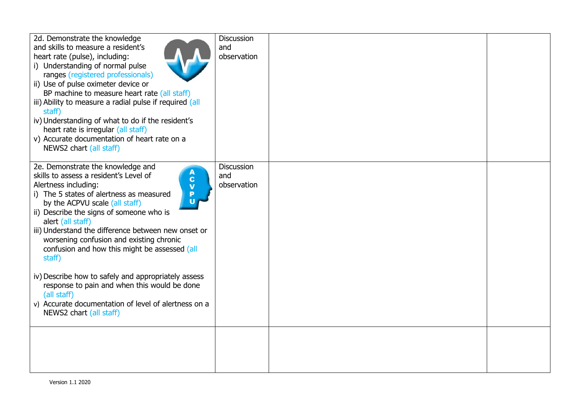| 2d. Demonstrate the knowledge<br>and skills to measure a resident's<br>heart rate (pulse), including:<br>i) Understanding of normal pulse<br>ranges (registered professionals)<br>ii) Use of pulse oximeter device or<br>BP machine to measure heart rate (all staff)<br>iii) Ability to measure a radial pulse if required (all<br>staff)<br>iv) Understanding of what to do if the resident's<br>heart rate is irregular (all staff)<br>v) Accurate documentation of heart rate on a<br>NEWS2 chart (all staff)                                                                                                                                                           | <b>Discussion</b><br>and<br>observation |  |
|-----------------------------------------------------------------------------------------------------------------------------------------------------------------------------------------------------------------------------------------------------------------------------------------------------------------------------------------------------------------------------------------------------------------------------------------------------------------------------------------------------------------------------------------------------------------------------------------------------------------------------------------------------------------------------|-----------------------------------------|--|
| 2e. Demonstrate the knowledge and<br>$\mathbf{A}$<br>skills to assess a resident's Level of<br>Alertness including:<br>$\overline{V}$<br>i) The 5 states of alertness as measured<br>$\mathbf{u}$<br>by the ACPVU scale (all staff)<br>ii) Describe the signs of someone who is<br>alert (all staff)<br>iii) Understand the difference between new onset or<br>worsening confusion and existing chronic<br>confusion and how this might be assessed (all<br>staff)<br>iv) Describe how to safely and appropriately assess<br>response to pain and when this would be done<br>(all staff)<br>v) Accurate documentation of level of alertness on a<br>NEWS2 chart (all staff) | <b>Discussion</b><br>and<br>observation |  |
|                                                                                                                                                                                                                                                                                                                                                                                                                                                                                                                                                                                                                                                                             |                                         |  |